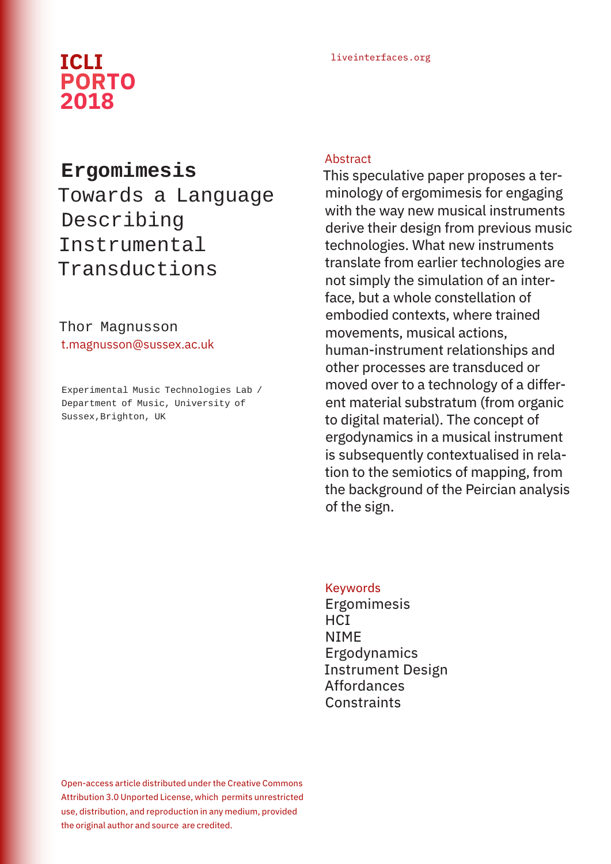# liveinterfaces.org **ICLI PORTO 2018**

# **Ergomimesis**

Towards a Language Describing Instrumental Transductions

# Thor Magnusson t.magnusson@sussex.ac.uk

Experimental Music Technologies Lab / Department of Music, University of Sussex, Brighton, UK

#### **Abstract**

This speculative paper proposes a terminology of ergomimesis for engaging with the way new musical instruments derive their design from previous music technologies. What new instruments translate from earlier technologies are not simply the simulation of an interface, but a whole constellation of embodied contexts, where trained movements, musical actions, human-instrument relationships and other processes are transduced or moved over to a technology of a different material substratum (from organic to digital material). The concept of ergodynamics in a musical instrument is subsequently contextualised in relation to the semiotics of mapping, from the background of the Peircian analysis of the sign.

#### Keywords

Ergomimesis **HCI** NIME Ergodynamics Instrument Design Affordances **Constraints** 

Open-access article distributed under the Creative Commons Attribution 3.0 Unported License, which permits unrestricted use, distribution, and reproduction in any medium, provided the original author and source are credited.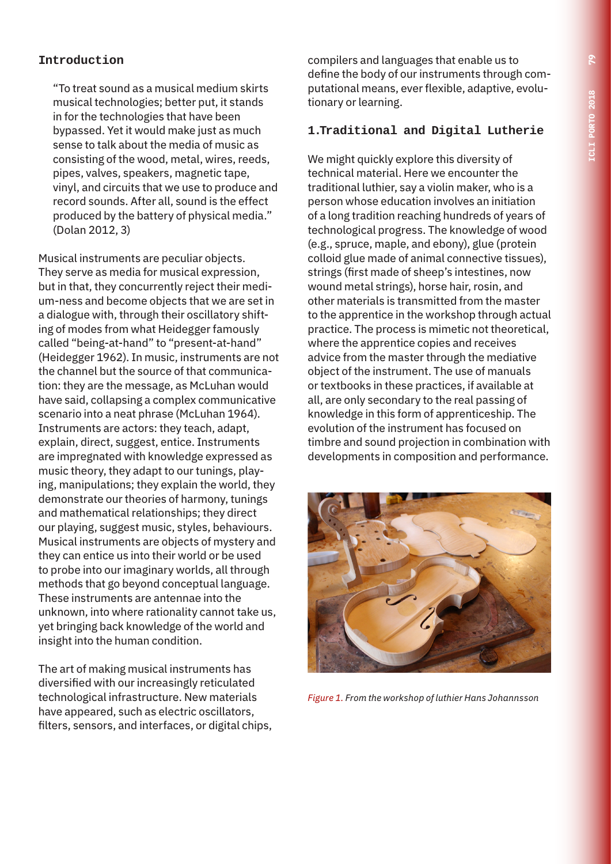# **Introduction**

"To treat sound as a musical medium skirts musical technologies; better put, it stands in for the technologies that have been bypassed. Yet it would make just as much sense to talk about the media of music as consisting of the wood, metal, wires, reeds, pipes, valves, speakers, magnetic tape, vinyl, and circuits that we use to produce and record sounds. After all, sound is the effect produced by the battery of physical media." (Dolan 2012, 3)

Musical instruments are peculiar objects. They serve as media for musical expression, but in that, they concurrently reject their medium-ness and become objects that we are set in a dialogue with, through their oscillatory shifting of modes from what Heidegger famously called "being-at-hand" to "present-at-hand" (Heidegger 1962). In music, instruments are not the channel but the source of that communication: they are the message, as McLuhan would have said, collapsing a complex communicative scenario into a neat phrase (McLuhan 1964). Instruments are actors: they teach, adapt, explain, direct, suggest, entice. Instruments are impregnated with knowledge expressed as music theory, they adapt to our tunings, playing, manipulations; they explain the world, they demonstrate our theories of harmony, tunings and mathematical relationships; they direct our playing, suggest music, styles, behaviours. Musical instruments are objects of mystery and they can entice us into their world or be used to probe into our imaginary worlds, all through methods that go beyond conceptual language. These instruments are antennae into the unknown, into where rationality cannot take us, yet bringing back knowledge of the world and insight into the human condition.

The art of making musical instruments has diversified with our increasingly reticulated technological infrastructure. New materials have appeared, such as electric oscillators, filters, sensors, and interfaces, or digital chips, compilers and languages that enable us to define the body of our instruments through computational means, ever flexible, adaptive, evolutionary or learning.

#### **1.Traditional and Digital Lutherie**

We might quickly explore this diversity of technical material. Here we encounter the traditional luthier, say a violin maker, who is a person whose education involves an initiation of a long tradition reaching hundreds of years of technological progress. The knowledge of wood (e.g., spruce, maple, and ebony), glue (protein colloid glue made of animal connective tissues), strings (first made of sheep's intestines, now wound metal strings), horse hair, rosin, and other materials is transmitted from the master to the apprentice in the workshop through actual practice. The process is mimetic not theoretical, where the apprentice copies and receives advice from the master through the mediative object of the instrument. The use of manuals or textbooks in these practices, if available at all, are only secondary to the real passing of knowledge in this form of apprenticeship. The evolution of the instrument has focused on timbre and sound projection in combination with developments in composition and performance.



*Figure 1. From the workshop of luthier Hans Johannsson*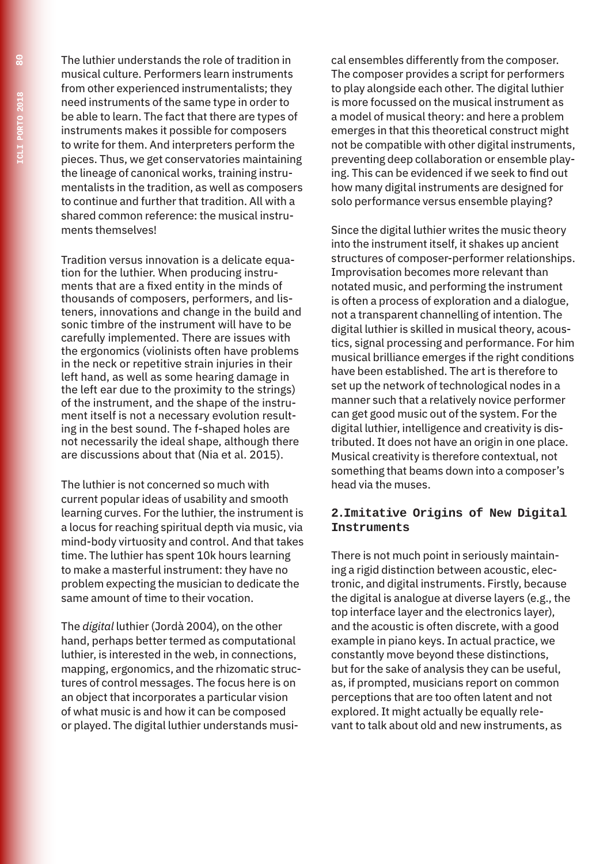The luthier understands the role of tradition in musical culture. Performers learn instruments from other experienced instrumentalists; they need instruments of the same type in order to be able to learn. The fact that there are types of instruments makes it possible for composers to write for them. And interpreters perform the pieces. Thus, we get conservatories maintaining the lineage of canonical works, training instrumentalists in the tradition, as well as composers to continue and further that tradition. All with a shared common reference: the musical instruments themselves!

Tradition versus innovation is a delicate equation for the luthier. When producing instruments that are a fixed entity in the minds of thousands of composers, performers, and listeners, innovations and change in the build and sonic timbre of the instrument will have to be carefully implemented. There are issues with the ergonomics (violinists often have problems in the neck or repetitive strain injuries in their left hand, as well as some hearing damage in the left ear due to the proximity to the strings) of the instrument, and the shape of the instrument itself is not a necessary evolution resulting in the best sound. The f-shaped holes are not necessarily the ideal shape, although there are discussions about that (Nia et al. 2015).

The luthier is not concerned so much with current popular ideas of usability and smooth learning curves. For the luthier, the instrument is a locus for reaching spiritual depth via music, via mind-body virtuosity and control. And that takes time. The luthier has spent 10k hours learning to make a masterful instrument: they have no problem expecting the musician to dedicate the same amount of time to their vocation.

The *digital* luthier (Jordà 2004), on the other hand, perhaps better termed as computational luthier, is interested in the web, in connections, mapping, ergonomics, and the rhizomatic structures of control messages. The focus here is on an object that incorporates a particular vision of what music is and how it can be composed or played. The digital luthier understands musi-

cal ensembles differently from the composer. The composer provides a script for performers to play alongside each other. The digital luthier is more focussed on the musical instrument as a model of musical theory: and here a problem emerges in that this theoretical construct might not be compatible with other digital instruments, preventing deep collaboration or ensemble playing. This can be evidenced if we seek to find out how many digital instruments are designed for solo performance versus ensemble playing?

Since the digital luthier writes the music theory into the instrument itself, it shakes up ancient structures of composer-performer relationships. Improvisation becomes more relevant than notated music, and performing the instrument is often a process of exploration and a dialogue, not a transparent channelling of intention. The digital luthier is skilled in musical theory, acoustics, signal processing and performance. For him musical brilliance emerges if the right conditions have been established. The art is therefore to set up the network of technological nodes in a manner such that a relatively novice performer can get good music out of the system. For the digital luthier, intelligence and creativity is distributed. It does not have an origin in one place. Musical creativity is therefore contextual, not something that beams down into a composer's head via the muses.

#### **2.Imitative Origins of New Digital Instruments**

There is not much point in seriously maintaining a rigid distinction between acoustic, electronic, and digital instruments. Firstly, because the digital is analogue at diverse layers (e.g., the top interface layer and the electronics layer), and the acoustic is often discrete, with a good example in piano keys. In actual practice, we constantly move beyond these distinctions, but for the sake of analysis they can be useful, as, if prompted, musicians report on common perceptions that are too often latent and not explored. It might actually be equally relevant to talk about old and new instruments, as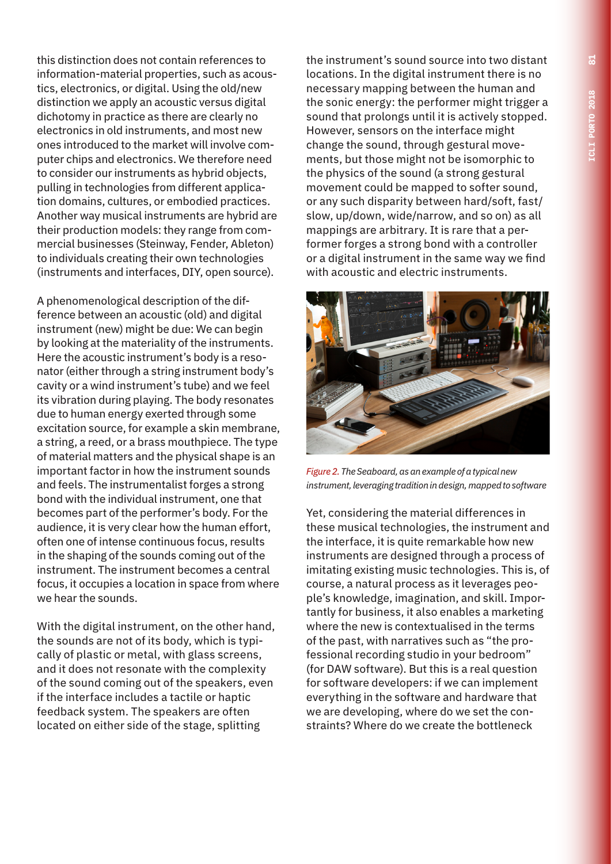this distinction does not contain references to information-material properties, such as acoustics, electronics, or digital. Using the old/new distinction we apply an acoustic versus digital dichotomy in practice as there are clearly no electronics in old instruments, and most new ones introduced to the market will involve computer chips and electronics. We therefore need to consider our instruments as hybrid objects, pulling in technologies from different application domains, cultures, or embodied practices. Another way musical instruments are hybrid are their production models: they range from commercial businesses (Steinway, Fender, Ableton) to individuals creating their own technologies (instruments and interfaces, DIY, open source).

A phenomenological description of the difference between an acoustic (old) and digital instrument (new) might be due: We can begin by looking at the materiality of the instruments. Here the acoustic instrument's body is a resonator (either through a string instrument body's cavity or a wind instrument's tube) and we feel its vibration during playing. The body resonates due to human energy exerted through some excitation source, for example a skin membrane, a string, a reed, or a brass mouthpiece. The type of material matters and the physical shape is an important factor in how the instrument sounds and feels. The instrumentalist forges a strong bond with the individual instrument, one that becomes part of the performer's body. For the audience, it is very clear how the human effort, often one of intense continuous focus, results in the shaping of the sounds coming out of the instrument. The instrument becomes a central focus, it occupies a location in space from where we hear the sounds.

With the digital instrument, on the other hand, the sounds are not of its body, which is typically of plastic or metal, with glass screens, and it does not resonate with the complexity of the sound coming out of the speakers, even if the interface includes a tactile or haptic feedback system. The speakers are often located on either side of the stage, splitting

the instrument's sound source into two distant locations. In the digital instrument there is no necessary mapping between the human and the sonic energy: the performer might trigger a sound that prolongs until it is actively stopped. However, sensors on the interface might change the sound, through gestural movements, but those might not be isomorphic to the physics of the sound (a strong gestural movement could be mapped to softer sound, or any such disparity between hard/soft, fast/ slow, up/down, wide/narrow, and so on) as all mappings are arbitrary. It is rare that a performer forges a strong bond with a controller or a digital instrument in the same way we find with acoustic and electric instruments.



*Figure 2. The Seaboard, as an example of a typical new instrument, leveraging tradition in design, mapped to software*

Yet, considering the material differences in these musical technologies, the instrument and the interface, it is quite remarkable how new instruments are designed through a process of imitating existing music technologies. This is, of course, a natural process as it leverages people's knowledge, imagination, and skill. Importantly for business, it also enables a marketing where the new is contextualised in the terms of the past, with narratives such as "the professional recording studio in your bedroom" (for DAW software). But this is a real question for software developers: if we can implement everything in the software and hardware that we are developing, where do we set the constraints? Where do we create the bottleneck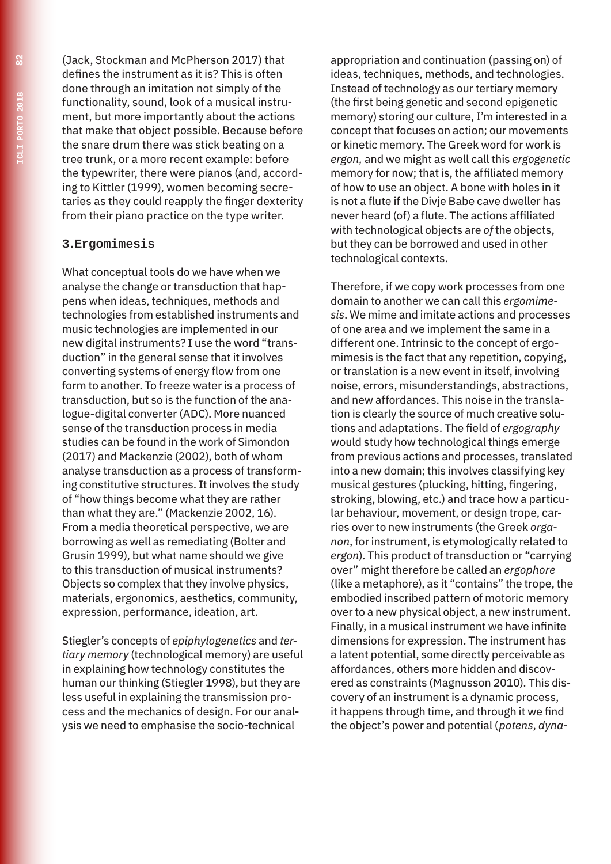(Jack, Stockman and McPherson 2017) that defines the instrument as it is? This is often done through an imitation not simply of the functionality, sound, look of a musical instrument, but more importantly about the actions that make that object possible. Because before the snare drum there was stick beating on a tree trunk, or a more recent example: before the typewriter, there were pianos (and, according to Kittler (1999), women becoming secretaries as they could reapply the finger dexterity from their piano practice on the type writer.

#### **3.Ergomimesis**

What conceptual tools do we have when we analyse the change or transduction that happens when ideas, techniques, methods and technologies from established instruments and music technologies are implemented in our new digital instruments? I use the word "transduction" in the general sense that it involves converting systems of energy flow from one form to another. To freeze water is a process of transduction, but so is the function of the analogue-digital converter (ADC). More nuanced sense of the transduction process in media studies can be found in the work of Simondon (2017) and Mackenzie (2002), both of whom analyse transduction as a process of transforming constitutive structures. It involves the study of "how things become what they are rather than what they are." (Mackenzie 2002, 16). From a media theoretical perspective, we are borrowing as well as remediating (Bolter and Grusin 1999), but what name should we give to this transduction of musical instruments? Objects so complex that they involve physics, materials, ergonomics, aesthetics, community, expression, performance, ideation, art.

Stiegler's concepts of *epiphylogenetics* and *tertiary memory* (technological memory) are useful in explaining how technology constitutes the human our thinking (Stiegler 1998), but they are less useful in explaining the transmission process and the mechanics of design. For our analysis we need to emphasise the socio-technical

appropriation and continuation (passing on) of ideas, techniques, methods, and technologies. Instead of technology as our tertiary memory (the first being genetic and second epigenetic memory) storing our culture, I'm interested in a concept that focuses on action; our movements or kinetic memory. The Greek word for work is *ergon,* and we might as well call this *ergogenetic* memory for now; that is, the affiliated memory of how to use an object. A bone with holes in it is not a flute if the Divje Babe cave dweller has never heard (of) a flute. The actions affiliated with technological objects are *of* the objects, but they can be borrowed and used in other technological contexts.

Therefore, if we copy work processes from one domain to another we can call this *ergomimesis*. We mime and imitate actions and processes of one area and we implement the same in a different one. Intrinsic to the concept of ergomimesis is the fact that any repetition, copying, or translation is a new event in itself, involving noise, errors, misunderstandings, abstractions, and new affordances. This noise in the translation is clearly the source of much creative solutions and adaptations. The field of *ergography* would study how technological things emerge from previous actions and processes, translated into a new domain; this involves classifying key musical gestures (plucking, hitting, fingering, stroking, blowing, etc.) and trace how a particular behaviour, movement, or design trope, carries over to new instruments (the Greek *organon*, for instrument, is etymologically related to *ergon*). This product of transduction or "carrying over" might therefore be called an *ergophore* (like a metaphore), as it "contains" the trope, the embodied inscribed pattern of motoric memory over to a new physical object, a new instrument. Finally, in a musical instrument we have infinite dimensions for expression. The instrument has a latent potential, some directly perceivable as affordances, others more hidden and discovered as constraints (Magnusson 2010). This discovery of an instrument is a dynamic process, it happens through time, and through it we find the object's power and potential (*potens*, *dyna-*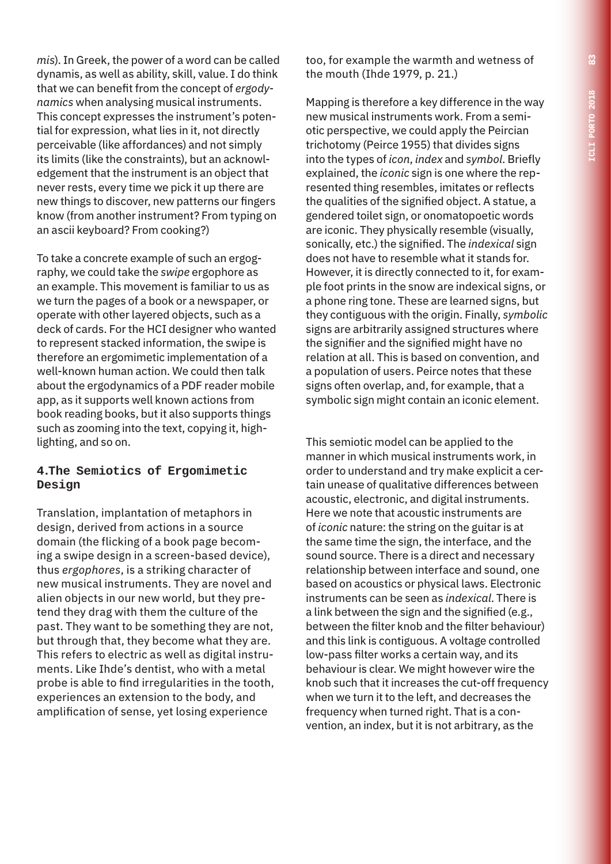*mis*). In Greek, the power of a word can be called dynamis, as well as ability, skill, value. I do think that we can benefit from the concept of *ergodynamics* when analysing musical instruments. This concept expresses the instrument's potential for expression, what lies in it, not directly perceivable (like affordances) and not simply its limits (like the constraints), but an acknowledgement that the instrument is an object that never rests, every time we pick it up there are new things to discover, new patterns our fingers know (from another instrument? From typing on an ascii keyboard? From cooking?)

To take a concrete example of such an ergography, we could take the *swipe* ergophore as an example. This movement is familiar to us as we turn the pages of a book or a newspaper, or operate with other layered objects, such as a deck of cards. For the HCI designer who wanted to represent stacked information, the swipe is therefore an ergomimetic implementation of a well-known human action. We could then talk about the ergodynamics of a PDF reader mobile app, as it supports well known actions from book reading books, but it also supports things such as zooming into the text, copying it, highlighting, and so on.

### **4.The Semiotics of Ergomimetic Design**

Translation, implantation of metaphors in design, derived from actions in a source domain (the flicking of a book page becoming a swipe design in a screen-based device), thus *ergophores*, is a striking character of new musical instruments. They are novel and alien objects in our new world, but they pretend they drag with them the culture of the past. They want to be something they are not, but through that, they become what they are. This refers to electric as well as digital instruments. Like Ihde's dentist, who with a metal probe is able to find irregularities in the tooth, experiences an extension to the body, and amplification of sense, yet losing experience

too, for example the warmth and wetness of the mouth (Ihde 1979, p. 21.)

Mapping is therefore a key difference in the way new musical instruments work. From a semiotic perspective, we could apply the Peircian trichotomy (Peirce 1955) that divides signs into the types of *icon*, *index* and *symbol*. Briefly explained, the *iconic* sign is one where the represented thing resembles, imitates or reflects the qualities of the signified object. A statue, a gendered toilet sign, or onomatopoetic words are iconic. They physically resemble (visually, sonically, etc.) the signified. The *indexical* sign does not have to resemble what it stands for. However, it is directly connected to it, for example foot prints in the snow are indexical signs, or a phone ring tone. These are learned signs, but they contiguous with the origin. Finally, *symbolic* signs are arbitrarily assigned structures where the signifier and the signified might have no relation at all. This is based on convention, and a population of users. Peirce notes that these signs often overlap, and, for example, that a symbolic sign might contain an iconic element.

This semiotic model can be applied to the manner in which musical instruments work, in order to understand and try make explicit a certain unease of qualitative differences between acoustic, electronic, and digital instruments. Here we note that acoustic instruments are of *iconic* nature: the string on the guitar is at the same time the sign, the interface, and the sound source. There is a direct and necessary relationship between interface and sound, one based on acoustics or physical laws. Electronic instruments can be seen as *indexical*. There is a link between the sign and the signified (e.g., between the filter knob and the filter behaviour) and this link is contiguous. A voltage controlled low-pass filter works a certain way, and its behaviour is clear. We might however wire the knob such that it increases the cut-off frequency when we turn it to the left, and decreases the frequency when turned right. That is a convention, an index, but it is not arbitrary, as the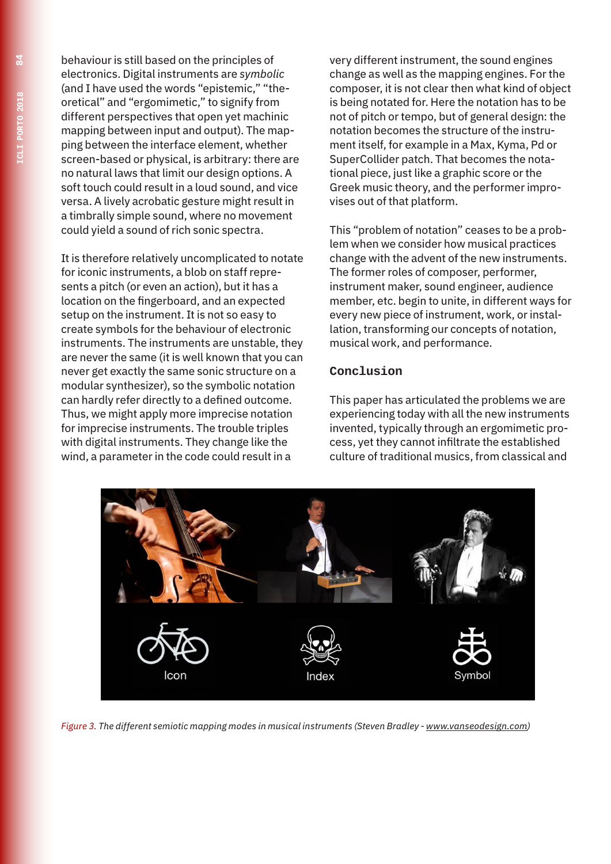behaviour is still based on the principles of electronics. Digital instruments are *symbolic* (and I have used the words "epistemic," "theoretical" and "ergomimetic," to signify from different perspectives that open yet machinic mapping between input and output). The mapping between the interface element, whether screen-based or physical, is arbitrary: there are no natural laws that limit our design options. A soft touch could result in a loud sound, and vice versa. A lively acrobatic gesture might result in a timbrally simple sound, where no movement could yield a sound of rich sonic spectra.

It is therefore relatively uncomplicated to notate for iconic instruments, a blob on staff represents a pitch (or even an action), but it has a location on the fingerboard, and an expected setup on the instrument. It is not so easy to create symbols for the behaviour of electronic instruments. The instruments are unstable, they are never the same (it is well known that you can never get exactly the same sonic structure on a modular synthesizer), so the symbolic notation can hardly refer directly to a defined outcome. Thus, we might apply more imprecise notation for imprecise instruments. The trouble triples with digital instruments. They change like the wind, a parameter in the code could result in a

very different instrument, the sound engines change as well as the mapping engines. For the composer, it is not clear then what kind of object is being notated for. Here the notation has to be not of pitch or tempo, but of general design: the notation becomes the structure of the instrument itself, for example in a Max, Kyma, Pd or SuperCollider patch. That becomes the notational piece, just like a graphic score or the Greek music theory, and the performer improvises out of that platform.

This "problem of notation" ceases to be a problem when we consider how musical practices change with the advent of the new instruments. The former roles of composer, performer, instrument maker, sound engineer, audience member, etc. begin to unite, in different ways for every new piece of instrument, work, or installation, transforming our concepts of notation, musical work, and performance.

#### **Conclusion**

This paper has articulated the problems we are experiencing today with all the new instruments invented, typically through an ergomimetic process, yet they cannot infiltrate the established culture of traditional musics, from classical and



*Figure 3. The different semiotic mapping modes in musical instruments (Steven Bradley - www.vanseodesign.com)*